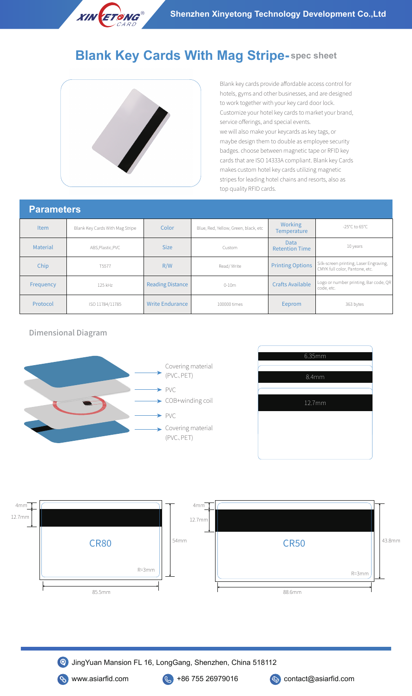

## **Blank Key Cards With Mag Stripe- spec sheet**



Blank key cards provide affordable access control for hotels, gyms and other businesses, and are designed to work together with your key card door lock. Customize your hotel key cards to market your brand, service offerings, and special events. we will also make your keycards as key tags, or maybe design them to double as employee security badges. choose between magnetic tape or RFID key cards that are ISO 14333A compliant. Blank key Cards makes custom hotel key cards utilizing magnetic stripes for leading hotel chains and resorts, also as top quality RFID cards.

| <b>Parameters</b> |  |
|-------------------|--|
|                   |  |

| i ululivwiv     |                                 |                         |                                      |                                      |                                                                          |  |
|-----------------|---------------------------------|-------------------------|--------------------------------------|--------------------------------------|--------------------------------------------------------------------------|--|
| <b>Item</b>     | Blank Key Cards With Mag Stripe | Color                   | Blue, Red, Yellow, Green, black, etc | Working<br><b>Temperature</b>        | -25°C to 65°C                                                            |  |
| <b>Material</b> | ABS, Plastic, PVC               | <b>Size</b>             | Custom                               | <b>Data</b><br><b>Retention Time</b> | 10 years                                                                 |  |
| Chip            | T5577                           | R/W                     | Read/Write                           | <b>Printing Options</b>              | Silk-screen printing, Laser Engraving,<br>CMYK full color, Pantone, etc. |  |
| Frequency       | 125 kHz                         | <b>Reading Distance</b> | $0 - 10m$                            | <b>Crafts Available</b>              | Logo or number printing, Bar code, QR<br>code, etc.                      |  |
| Protocol        | ISO 11784/11785                 | <b>Write Endurance</b>  | 100000 times                         | Eeprom                               | 363 bytes                                                                |  |









JingYuan Mansion FL 16, LongGang, Shenzhen, China 518112